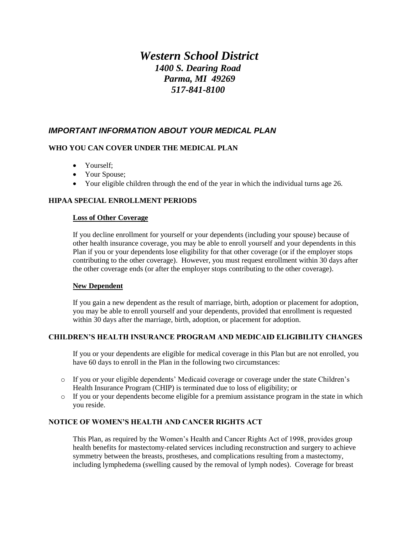# *Western School District 1400 S. Dearing Road Parma, MI 49269 517-841-8100*

## *IMPORTANT INFORMATION ABOUT YOUR MEDICAL PLAN*

## **WHO YOU CAN COVER UNDER THE MEDICAL PLAN**

- Yourself;
- Your Spouse;
- Your eligible children through the end of the year in which the individual turns age 26.

#### **HIPAA SPECIAL ENROLLMENT PERIODS**

#### **Loss of Other Coverage**

If you decline enrollment for yourself or your dependents (including your spouse) because of other health insurance coverage, you may be able to enroll yourself and your dependents in this Plan if you or your dependents lose eligibility for that other coverage (or if the employer stops contributing to the other coverage). However, you must request enrollment within 30 days after the other coverage ends (or after the employer stops contributing to the other coverage).

#### **New Dependent**

If you gain a new dependent as the result of marriage, birth, adoption or placement for adoption, you may be able to enroll yourself and your dependents, provided that enrollment is requested within 30 days after the marriage, birth, adoption, or placement for adoption.

#### **CHILDREN'S HEALTH INSURANCE PROGRAM AND MEDICAID ELIGIBILITY CHANGES**

If you or your dependents are eligible for medical coverage in this Plan but are not enrolled, you have 60 days to enroll in the Plan in the following two circumstances:

- o If you or your eligible dependents' Medicaid coverage or coverage under the state Children's Health Insurance Program (CHIP) is terminated due to loss of eligibility; or
- o If you or your dependents become eligible for a premium assistance program in the state in which you reside.

## **NOTICE OF WOMEN'S HEALTH AND CANCER RIGHTS ACT**

This Plan, as required by the Women's Health and Cancer Rights Act of 1998, provides group health benefits for mastectomy-related services including reconstruction and surgery to achieve symmetry between the breasts, prostheses, and complications resulting from a mastectomy, including lymphedema (swelling caused by the removal of lymph nodes). Coverage for breast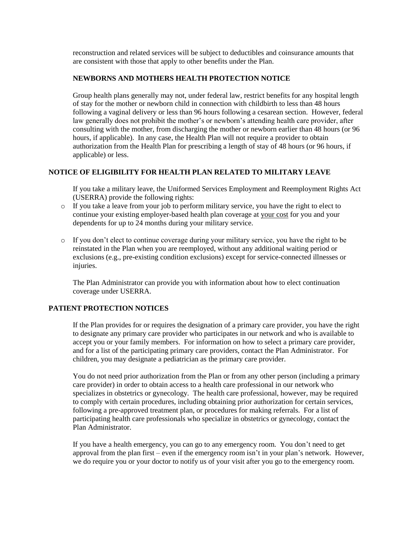reconstruction and related services will be subject to deductibles and coinsurance amounts that are consistent with those that apply to other benefits under the Plan.

#### **NEWBORNS AND MOTHERS HEALTH PROTECTION NOTICE**

Group health plans generally may not, under federal law, restrict benefits for any hospital length of stay for the mother or newborn child in connection with childbirth to less than 48 hours following a vaginal delivery or less than 96 hours following a cesarean section. However, federal law generally does not prohibit the mother's or newborn's attending health care provider, after consulting with the mother, from discharging the mother or newborn earlier than 48 hours (or 96 hours, if applicable). In any case, the Health Plan will not require a provider to obtain authorization from the Health Plan for prescribing a length of stay of 48 hours (or 96 hours, if applicable) or less.

## **NOTICE OF ELIGIBILITY FOR HEALTH PLAN RELATED TO MILITARY LEAVE**

If you take a military leave, the Uniformed Services Employment and Reemployment Rights Act (USERRA) provide the following rights:

- $\circ$  If you take a leave from your job to perform military service, you have the right to elect to continue your existing employer-based health plan coverage at your cost for you and your dependents for up to 24 months during your military service.
- $\circ$  If you don't elect to continue coverage during your military service, you have the right to be reinstated in the Plan when you are reemployed, without any additional waiting period or exclusions (e.g., pre-existing condition exclusions) except for service-connected illnesses or injuries.

The Plan Administrator can provide you with information about how to elect continuation coverage under USERRA.

#### **PATIENT PROTECTION NOTICES**

If the Plan provides for or requires the designation of a primary care provider, you have the right to designate any primary care provider who participates in our network and who is available to accept you or your family members. For information on how to select a primary care provider, and for a list of the participating primary care providers, contact the Plan Administrator. For children, you may designate a pediatrician as the primary care provider.

You do not need prior authorization from the Plan or from any other person (including a primary care provider) in order to obtain access to a health care professional in our network who specializes in obstetrics or gynecology. The health care professional, however, may be required to comply with certain procedures, including obtaining prior authorization for certain services, following a pre-approved treatment plan, or procedures for making referrals. For a list of participating health care professionals who specialize in obstetrics or gynecology, contact the Plan Administrator.

If you have a health emergency, you can go to any emergency room. You don't need to get approval from the plan first – even if the emergency room isn't in your plan's network. However, we do require you or your doctor to notify us of your visit after you go to the emergency room.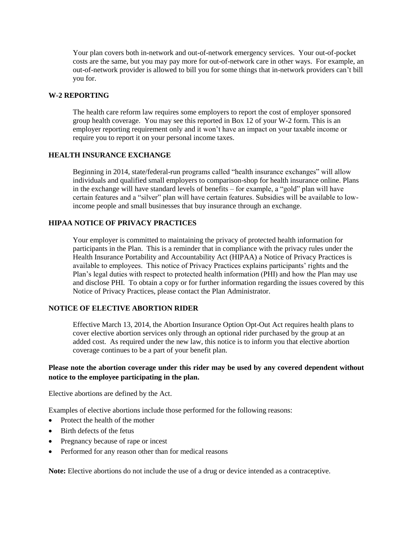Your plan covers both in-network and out-of-network emergency services. Your out-of-pocket costs are the same, but you may pay more for out-of-network care in other ways. For example, an out-of-network provider is allowed to bill you for some things that in-network providers can't bill you for.

#### **W-2 REPORTING**

The health care reform law requires some employers to report the cost of employer sponsored group health coverage. You may see this reported in Box 12 of your W-2 form. This is an employer reporting requirement only and it won't have an impact on your taxable income or require you to report it on your personal income taxes.

#### **HEALTH INSURANCE EXCHANGE**

Beginning in 2014, state/federal-run programs called "health insurance exchanges" will allow individuals and qualified small employers to comparison-shop for health insurance online. Plans in the exchange will have standard levels of benefits – for example, a "gold" plan will have certain features and a "silver" plan will have certain features. Subsidies will be available to lowincome people and small businesses that buy insurance through an exchange.

## **HIPAA NOTICE OF PRIVACY PRACTICES**

Your employer is committed to maintaining the privacy of protected health information for participants in the Plan. This is a reminder that in compliance with the privacy rules under the Health Insurance Portability and Accountability Act (HIPAA) a Notice of Privacy Practices is available to employees. This notice of Privacy Practices explains participants' rights and the Plan's legal duties with respect to protected health information (PHI) and how the Plan may use and disclose PHI. To obtain a copy or for further information regarding the issues covered by this Notice of Privacy Practices, please contact the Plan Administrator.

#### **NOTICE OF ELECTIVE ABORTION RIDER**

Effective March 13, 2014, the Abortion Insurance Option Opt-Out Act requires health plans to cover elective abortion services only through an optional rider purchased by the group at an added cost. As required under the new law, this notice is to inform you that elective abortion coverage continues to be a part of your benefit plan.

## **Please note the abortion coverage under this rider may be used by any covered dependent without notice to the employee participating in the plan.**

Elective abortions are defined by the Act.

Examples of elective abortions include those performed for the following reasons:

- Protect the health of the mother
- Birth defects of the fetus
- Pregnancy because of rape or incest
- Performed for any reason other than for medical reasons

**Note:** Elective abortions do not include the use of a drug or device intended as a contraceptive.